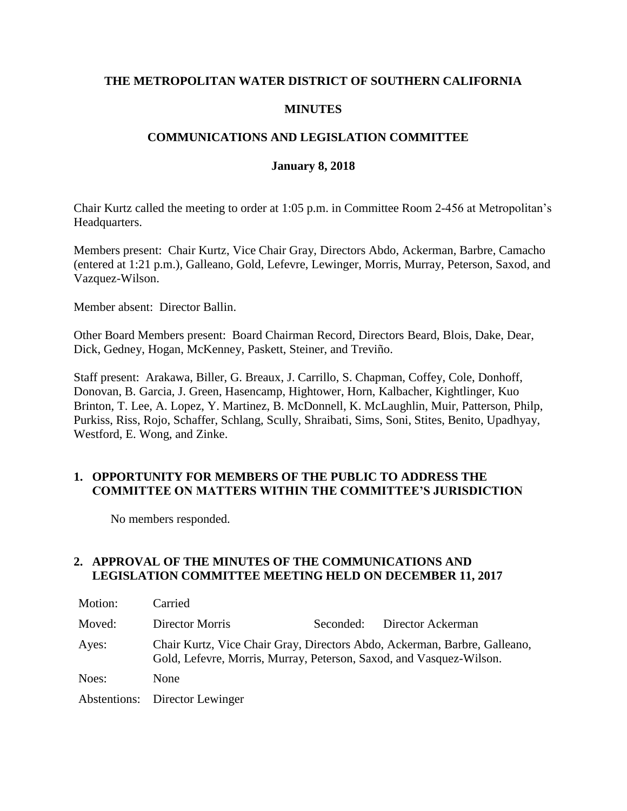## **THE METROPOLITAN WATER DISTRICT OF SOUTHERN CALIFORNIA**

## **MINUTES**

## **COMMUNICATIONS AND LEGISLATION COMMITTEE**

#### **January 8, 2018**

Chair Kurtz called the meeting to order at 1:05 p.m. in Committee Room 2-456 at Metropolitan's Headquarters.

Members present: Chair Kurtz, Vice Chair Gray, Directors Abdo, Ackerman, Barbre, Camacho (entered at 1:21 p.m.), Galleano, Gold, Lefevre, Lewinger, Morris, Murray, Peterson, Saxod, and Vazquez-Wilson.

Member absent: Director Ballin.

Other Board Members present: Board Chairman Record, Directors Beard, Blois, Dake, Dear, Dick, Gedney, Hogan, McKenney, Paskett, Steiner, and Treviño.

Staff present: Arakawa, Biller, G. Breaux, J. Carrillo, S. Chapman, Coffey, Cole, Donhoff, Donovan, B. Garcia, J. Green, Hasencamp, Hightower, Horn, Kalbacher, Kightlinger, Kuo Brinton, T. Lee, A. Lopez, Y. Martinez, B. McDonnell, K. McLaughlin, Muir, Patterson, Philp, Purkiss, Riss, Rojo, Schaffer, Schlang, Scully, Shraibati, Sims, Soni, Stites, Benito, Upadhyay, Westford, E. Wong, and Zinke.

# **1. OPPORTUNITY FOR MEMBERS OF THE PUBLIC TO ADDRESS THE COMMITTEE ON MATTERS WITHIN THE COMMITTEE'S JURISDICTION**

No members responded.

## **2. APPROVAL OF THE MINUTES OF THE COMMUNICATIONS AND LEGISLATION COMMITTEE MEETING HELD ON DECEMBER 11, 2017**

| Motion: | Carried                                                                                                                                          |           |                   |
|---------|--------------------------------------------------------------------------------------------------------------------------------------------------|-----------|-------------------|
| Moved:  | Director Morris                                                                                                                                  | Seconded: | Director Ackerman |
| Ayes:   | Chair Kurtz, Vice Chair Gray, Directors Abdo, Ackerman, Barbre, Galleano,<br>Gold, Lefevre, Morris, Murray, Peterson, Saxod, and Vasquez-Wilson. |           |                   |
| Noes:   | None                                                                                                                                             |           |                   |
|         | Abstentions: Director Lewinger                                                                                                                   |           |                   |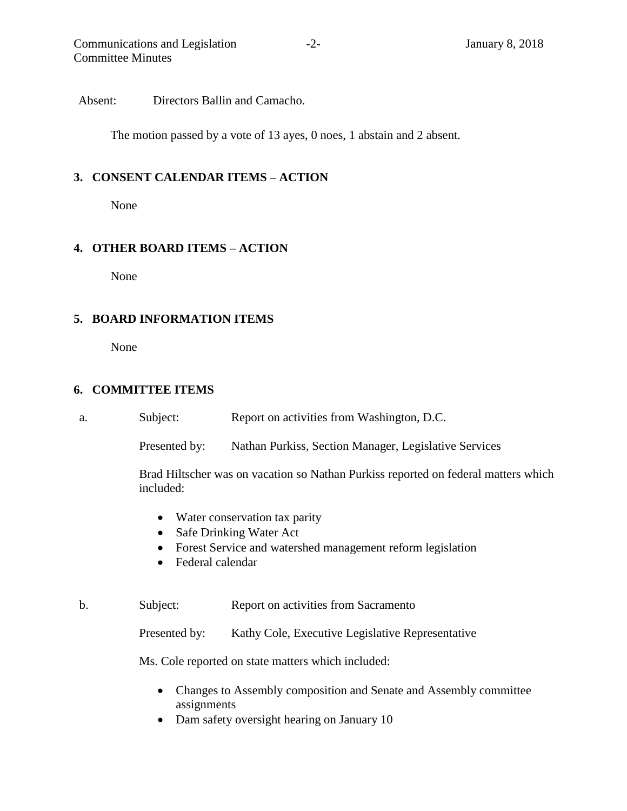Absent: Directors Ballin and Camacho.

The motion passed by a vote of 13 ayes, 0 noes, 1 abstain and 2 absent.

#### **3. CONSENT CALENDAR ITEMS – ACTION**

None

#### **4. OTHER BOARD ITEMS – ACTION**

None

#### **5. BOARD INFORMATION ITEMS**

None

#### **6. COMMITTEE ITEMS**

a. Subject: Report on activities from Washington, D.C.

Presented by: Nathan Purkiss, Section Manager, Legislative Services

Brad Hiltscher was on vacation so Nathan Purkiss reported on federal matters which included:

- Water conservation tax parity
- Safe Drinking Water Act
- Forest Service and watershed management reform legislation
- Federal calendar
- b. Subject: Report on activities from Sacramento

Presented by: Kathy Cole, Executive Legislative Representative

Ms. Cole reported on state matters which included:

- Changes to Assembly composition and Senate and Assembly committee assignments
- Dam safety oversight hearing on January 10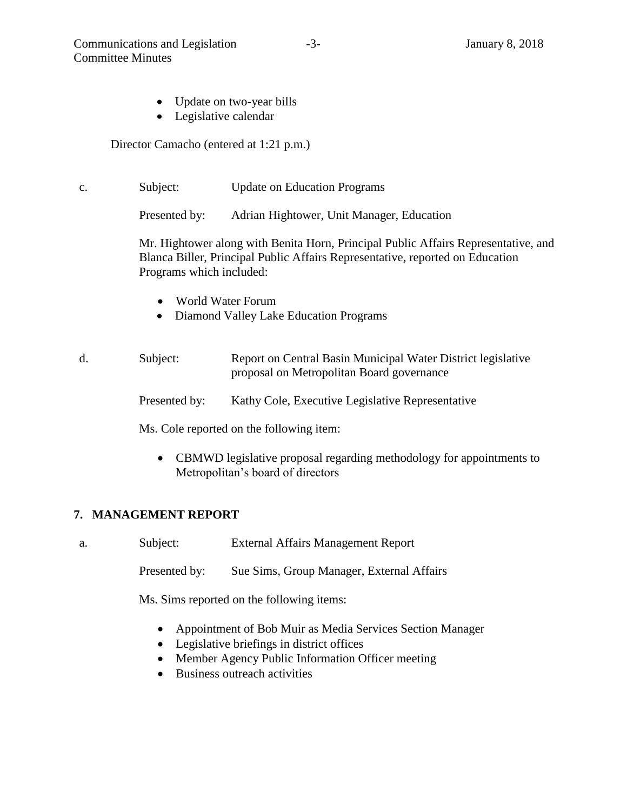- Update on two-year bills
- Legislative calendar

Director Camacho (entered at 1:21 p.m.)

c. Subject: Update on Education Programs

Presented by: Adrian Hightower, Unit Manager, Education

Mr. Hightower along with Benita Horn, Principal Public Affairs Representative, and Blanca Biller, Principal Public Affairs Representative, reported on Education Programs which included:

- World Water Forum
- Diamond Valley Lake Education Programs

# d. Subject: Report on Central Basin Municipal Water District legislative proposal on Metropolitan Board governance

Presented by: Kathy Cole, Executive Legislative Representative

Ms. Cole reported on the following item:

 CBMWD legislative proposal regarding methodology for appointments to Metropolitan's board of directors

# **7. MANAGEMENT REPORT**

a. Subject: External Affairs Management Report

Presented by: Sue Sims, Group Manager, External Affairs

Ms. Sims reported on the following items:

- Appointment of Bob Muir as Media Services Section Manager
- Legislative briefings in district offices
- Member Agency Public Information Officer meeting
- Business outreach activities